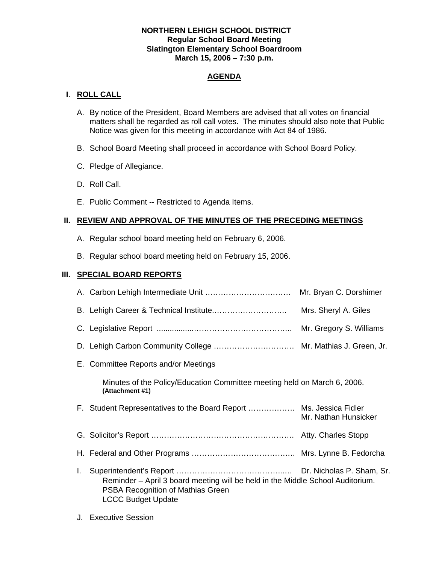### **NORTHERN LEHIGH SCHOOL DISTRICT Regular School Board Meeting Slatington Elementary School Boardroom March 15, 2006 – 7:30 p.m.**

# **AGENDA**

## **I**. **ROLL CALL**

- A. By notice of the President, Board Members are advised that all votes on financial matters shall be regarded as roll call votes. The minutes should also note that Public Notice was given for this meeting in accordance with Act 84 of 1986.
- B. School Board Meeting shall proceed in accordance with School Board Policy.
- C. Pledge of Allegiance.
- D. Roll Call.
- E. Public Comment -- Restricted to Agenda Items.

## **II. REVIEW AND APPROVAL OF THE MINUTES OF THE PRECEDING MEETINGS**

- A. Regular school board meeting held on February 6, 2006.
- B. Regular school board meeting held on February 15, 2006.

### **III. SPECIAL BOARD REPORTS**

|    |                                                                                                                                                  | Mrs. Sheryl A. Giles |
|----|--------------------------------------------------------------------------------------------------------------------------------------------------|----------------------|
|    |                                                                                                                                                  |                      |
|    |                                                                                                                                                  |                      |
|    | E. Committee Reports and/or Meetings                                                                                                             |                      |
|    | Minutes of the Policy/Education Committee meeting held on March 6, 2006.<br>(Attachment #1)                                                      |                      |
|    | F. Student Representatives to the Board Report  Ms. Jessica Fidler                                                                               | Mr. Nathan Hunsicker |
|    |                                                                                                                                                  |                      |
|    |                                                                                                                                                  |                      |
| Ι. | Reminder – April 3 board meeting will be held in the Middle School Auditorium.<br>PSBA Recognition of Mathias Green<br><b>LCCC Budget Update</b> |                      |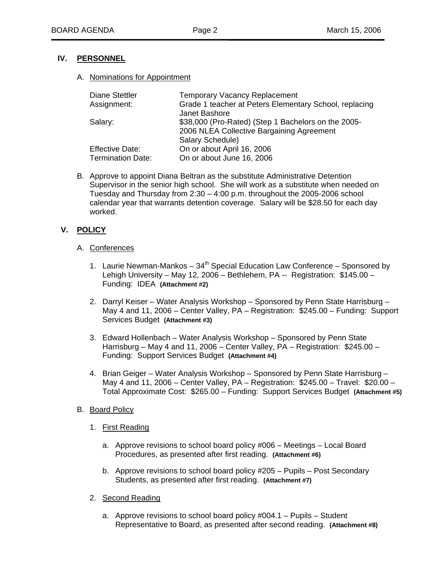## **IV. PERSONNEL**

#### A. Nominations for Appointment

| <b>Diane Stettler</b>    | <b>Temporary Vacancy Replacement</b>                   |
|--------------------------|--------------------------------------------------------|
| Assignment:              | Grade 1 teacher at Peters Elementary School, replacing |
|                          | Janet Bashore                                          |
| Salary:                  | \$38,000 (Pro-Rated) (Step 1 Bachelors on the 2005-    |
|                          | 2006 NLEA Collective Bargaining Agreement              |
|                          | Salary Schedule)                                       |
| <b>Effective Date:</b>   | On or about April 16, 2006                             |
| <b>Termination Date:</b> | On or about June 16, 2006                              |

B. Approve to appoint Diana Beltran as the substitute Administrative Detention Supervisor in the senior high school. She will work as a substitute when needed on Tuesday and Thursday from  $2:30 - 4:00$  p.m. throughout the 2005-2006 school calendar year that warrants detention coverage. Salary will be \$28.50 for each day worked.

## **V. POLICY**

#### A. Conferences

- 1. Laurie Newman-Mankos  $34<sup>th</sup>$  Special Education Law Conference Sponsored by Lehigh University – May 12, 2006 – Bethlehem, PA -- Registration: \$145.00 – Funding: IDEA **(Attachment #2)**
- 2. Darryl Keiser Water Analysis Workshop Sponsored by Penn State Harrisburg May 4 and 11, 2006 – Center Valley, PA – Registration: \$245.00 – Funding: Support Services Budget **(Attachment #3)**
- 3. Edward Hollenbach Water Analysis Workshop Sponsored by Penn State Harrisburg – May 4 and 11, 2006 – Center Valley, PA – Registration: \$245.00 – Funding: Support Services Budget **(Attachment #4)**
- 4. Brian Geiger Water Analysis Workshop Sponsored by Penn State Harrisburg May 4 and 11, 2006 – Center Valley, PA – Registration: \$245.00 – Travel: \$20.00 – Total Approximate Cost: \$265.00 – Funding: Support Services Budget **(Attachment #5)**
- B. Board Policy
	- 1. First Reading
		- a. Approve revisions to school board policy #006 Meetings Local Board Procedures, as presented after first reading. **(Attachment #6)**
		- b. Approve revisions to school board policy #205 Pupils Post Secondary Students, as presented after first reading. **(Attachment #7)**
	- 2. Second Reading
		- a. Approve revisions to school board policy #004.1 Pupils Student Representative to Board, as presented after second reading. **(Attachment #8)**